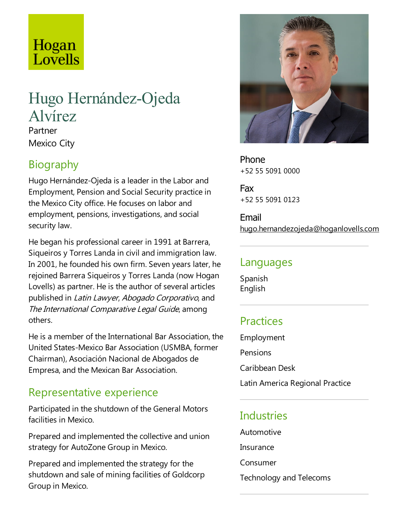# Hogan Lovells

# Hugo Hernández-Ojeda Alvírez

Partner Mexico City

## Biography

Hugo Hernández-Ojeda is a leader in the Labor and Employment, Pension and Social Security practice in the Mexico City office. He focuses on labor and employment, pensions, investigations, and social security law.

He began his professional career in 1991 at Barrera, Siqueiros y Torres Landa in civil and immigration law. In 2001, he founded his own firm. Seven years later, he rejoined Barrera Siqueiros y Torres Landa(now Hogan Lovells) as partner. He is the author of several articles published in Latin Lawyer, Abogado Corporativo, and The International Comparative Legal Guide, among others.

He is a member of the International Bar Association, the United States-Mexico Bar Association (USMBA, former Chairman), Asociación Nacional de Abogados de Empresa, and the Mexican Bar Association.

## Representative experience

Participated in the shutdown of the General Motors facilities in Mexico.

Prepared and implemented the collective and union strategy for AutoZone Group in Mexico.

Prepared and implemented the strategy for the shutdown and sale of mining facilities of Goldcorp Group in Mexico.



Phone +52 55 5091 0000

Fax +52 55 5091 0123

Email hugo.hernandezojeda@hoganlovells.com

#### Languages

Spanish English

## **Practices**

Employment Pensions Caribbean Desk

Latin America Regional Practice

## **Industries**

Automotive

- Insurance
- Consumer
- Technology and Telecoms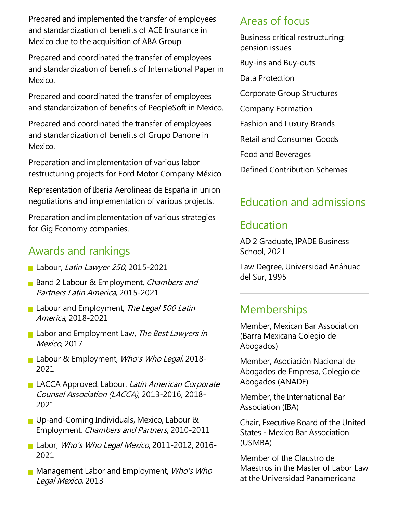Prepared and implemented the transfer of employees and standardization of benefits of ACE Insurance in Mexico due to the acquisition of ABA Group.

Prepared and coordinated the transfer of employees and standardization of benefits of International Paper in Mexico.

Prepared and coordinated the transfer of employees and standardization of benefits of PeopleSoft in Mexico.

Prepared and coordinated the transfer of employees and standardization of benefits of Grupo Danone in Mexico.

Preparation and implementation of various labor restructuring projects for Ford Motor Company México.

Representation of Iberia Aerolineas de España in union negotiations and implementation of various projects.

Preparation and implementation of various strategies for Gig Economy companies.

#### Awards and rankings

- Labour, Latin Lawyer 250, 2015-2021
- Band 2 Labour & Employment, Chambers and Partners Latin America, 2015-2021
- Labour and Employment, The Legal 500 Latin America, 2018-2021
- Labor and Employment Law, The Best Lawyers in Mexico, 2017
- Labour & Employment, Who's Who Legal, 2018-2021
- LACCA Approved: Labour, Latin American Corporate Counsel Association (LACCA), 2013-2016, 2018- 2021
- Up-and-Coming Individuals, Mexico, Labour  $\&$ Employment, Chambers and Partners, 2010-2011
- Labor, Who's Who Legal Mexico, 2011-2012, 2016-2021
- **Management Labor and Employment, Who's Who** Legal Mexico, 2013

#### Areas of focus

Business critical restructuring: pension issues

- Buy-ins and Buy-outs
- Data Protection

Corporate Group Structures

Company Formation

Fashion and Luxury Brands

Retail and Consumer Goods

Food and Beverages

Defined Contribution Schemes

### Education and admissions

## Education

AD 2 Graduate, IPADE Business School, 2021

Law Degree, Universidad Anáhuac del Sur, 1995

## Memberships

Member, Mexican Bar Association (Barra Mexicana Colegio de Abogados)

Member, Asociación Nacional de Abogados de Empresa, Colegio de Abogados (ANADE)

Member, the International Bar Association (IBA)

Chair,Executive Board of the United States - Mexico Bar Association (USMBA)

Member of the Claustro de Maestros in the Master of Labor Law at the Universidad Panamericana